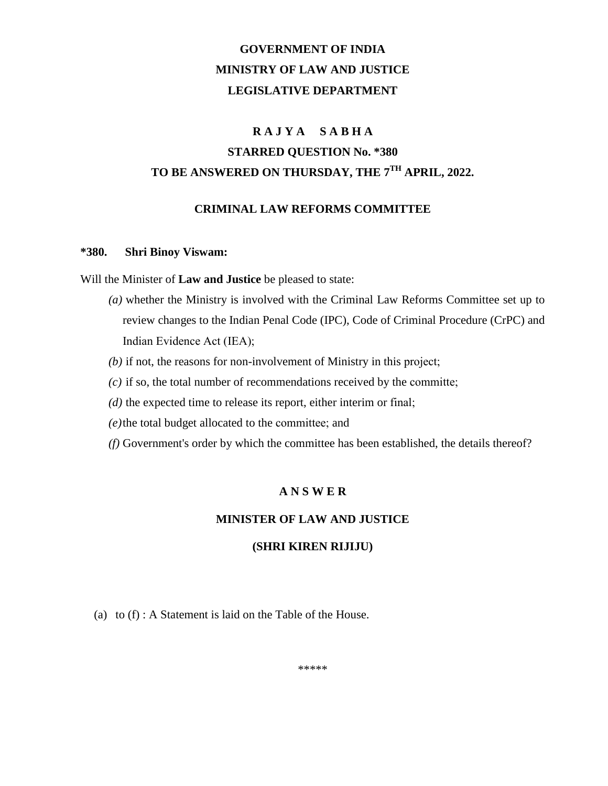# **GOVERNMENT OF INDIA MINISTRY OF LAW AND JUSTICE LEGISLATIVE DEPARTMENT**

## **R A J Y A S A B H A**

# **STARRED QUESTION No. \*380 TO BE ANSWERED ON THURSDAY, THE 7TH APRIL, 2022.**

#### **CRIMINAL LAW REFORMS COMMITTEE**

#### **\*380. Shri Binoy Viswam:**

Will the Minister of **Law and Justice** be pleased to state:

- *(a)* whether the Ministry is involved with the Criminal Law Reforms Committee set up to review changes to the Indian Penal Code (IPC), Code of Criminal Procedure (CrPC) and Indian Evidence Act (IEA);
- *(b)* if not, the reasons for non-involvement of Ministry in this project;
- *(c)* if so, the total number of recommendations received by the committe;
- *(d)* the expected time to release its report, either interim or final;
- *(e)*the total budget allocated to the committee; and
- *(f)* Government's order by which the committee has been established, the details thereof?

### **A N S W E R**

### **MINISTER OF LAW AND JUSTICE**

### **(SHRI KIREN RIJIJU)**

(a) to (f) : A Statement is laid on the Table of the House.

\*\*\*\*\*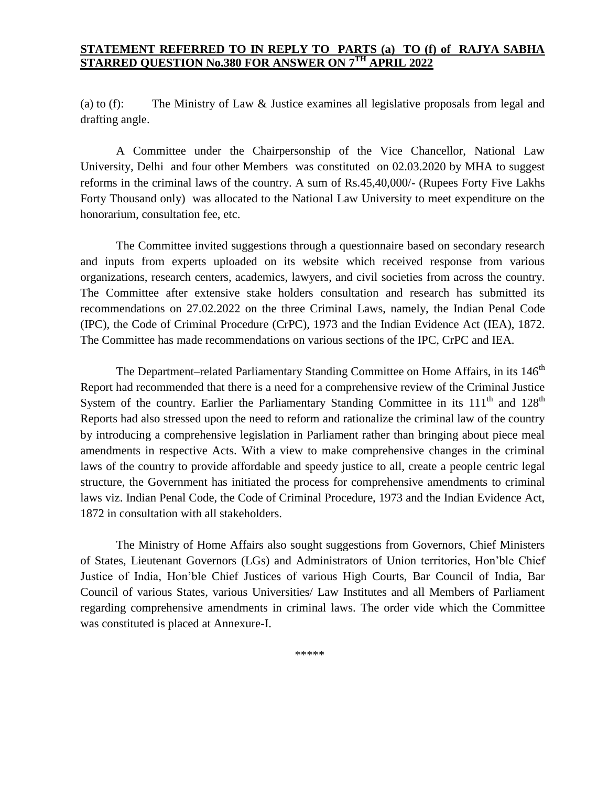#### **STATEMENT REFERRED TO IN REPLY TO PARTS (a) TO (f) of RAJYA SABHA STARRED QUESTION No.380 FOR ANSWER ON 7TH APRIL 2022**

(a) to (f): The Ministry of Law & Justice examines all legislative proposals from legal and drafting angle.

A Committee under the Chairpersonship of the Vice Chancellor, National Law University, Delhi and four other Members was constituted on 02.03.2020 by MHA to suggest reforms in the criminal laws of the country. A sum of Rs.45,40,000/- (Rupees Forty Five Lakhs Forty Thousand only) was allocated to the National Law University to meet expenditure on the honorarium, consultation fee, etc.

The Committee invited suggestions through a questionnaire based on secondary research and inputs from experts uploaded on its website which received response from various organizations, research centers, academics, lawyers, and civil societies from across the country. The Committee after extensive stake holders consultation and research has submitted its recommendations on 27.02.2022 on the three Criminal Laws, namely, the Indian Penal Code (IPC), the Code of Criminal Procedure (CrPC), 1973 and the Indian Evidence Act (IEA), 1872. The Committee has made recommendations on various sections of the IPC, CrPC and IEA.

The Department–related Parliamentary Standing Committee on Home Affairs, in its 146<sup>th</sup> Report had recommended that there is a need for a comprehensive review of the Criminal Justice System of the country. Earlier the Parliamentary Standing Committee in its  $111<sup>th</sup>$  and  $128<sup>th</sup>$ Reports had also stressed upon the need to reform and rationalize the criminal law of the country by introducing a comprehensive legislation in Parliament rather than bringing about piece meal amendments in respective Acts. With a view to make comprehensive changes in the criminal laws of the country to provide affordable and speedy justice to all, create a people centric legal structure, the Government has initiated the process for comprehensive amendments to criminal laws viz. Indian Penal Code, the Code of Criminal Procedure, 1973 and the Indian Evidence Act, 1872 in consultation with all stakeholders.

The Ministry of Home Affairs also sought suggestions from Governors, Chief Ministers of States, Lieutenant Governors (LGs) and Administrators of Union territories, Hon'ble Chief Justice of India, Hon'ble Chief Justices of various High Courts, Bar Council of India, Bar Council of various States, various Universities/ Law Institutes and all Members of Parliament regarding comprehensive amendments in criminal laws. The order vide which the Committee was constituted is placed at Annexure-I.

\*\*\*\*\*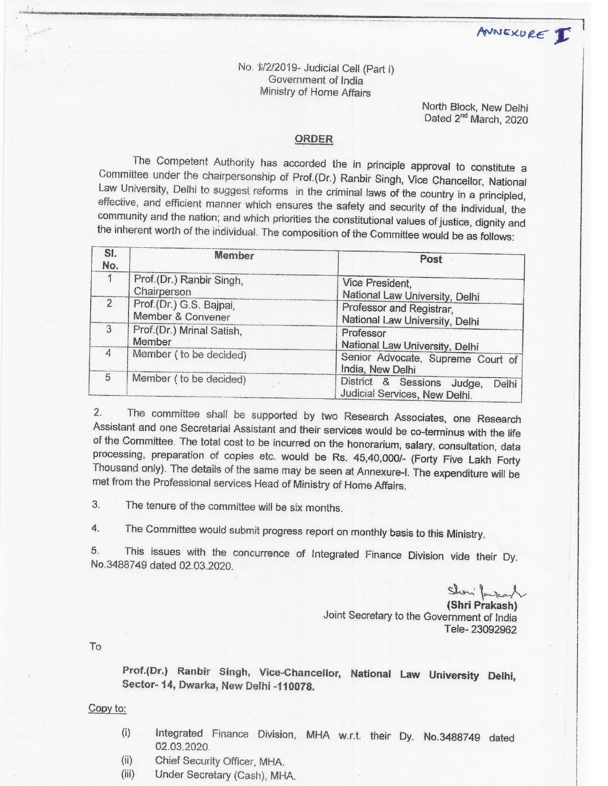ANNEXURE I

No. 1/2/2019- Judicial Cell (Part I) Government of India Ministry of Home Affairs

> North Block, New Delhi Dated 2<sup>nd</sup> March, 2020

#### ORDER

The Competent Authority has accorded the in principle approval to constitute a Committee under the chairpersonship of Prof.(Dr.) Ranbir Singh, Vice Chancellor, National Law University, Delhi to suggest reforms in the criminal laws of the country in a principled, effective, and efficient manner which ensures the safety and security of the individual, the community and the nation; and which priorities the constitutional values of justice, dignity and the inherent worth of the individual. The composition of the Committee would be as follows:

| SI.<br>No.     | Momber                                       | Post                                                                 |  |
|----------------|----------------------------------------------|----------------------------------------------------------------------|--|
|                | Prof.(Dr.) Ranbir Singh,<br>Chairperson      | Vice President,<br>National Law University, Delhi                    |  |
| $\overline{2}$ | Prof.(Dr.) G.S. Bajpai,<br>Member & Convener | Professor and Registrar,<br>National Law University, Delhi           |  |
| 3              | Prof.(Dr.) Mrinal Satish,<br>Member          | Professor<br>National Law University, Delhi                          |  |
| 4              | Member ( to be decided)                      | Senior Advocate, Supreme Court of<br>India, New Delhi                |  |
| 5              | Member ( to be decided)                      | District & Sessions Judge,<br>Delhi<br>Judicial Services, New Delhi. |  |

The committee shall be supported by two Research Associates, one Research  $2.$ Assistant and one Secretarial Assistant and their services would be co-terminus with the life of the Committee. The total cost to be incurred on the honorarium, salary, consultation, data processing, preparation of copies etc. would be Rs. 45,40,000/- (Forty Five Lakh Forty Thousand only). The details of the same may be seen at Annexure-I. The expenditure will be met from the Professional services Head of Ministry of Home Affairs.

3. The tenure of the committee will be six months.

The Committee would submit progress report on monthly basis to this Ministry. 4.

This issues with the concurrence of Integrated Finance Division vide their Dy. 5. No.3488749 dated 02.03.2020.

(Shri Prakash) Joint Secretary to the Government of India Tele-23092962

To

Prof.(Dr.) Ranbir Singh, Vice-Chancellor, National Law University Delhi, Sector- 14, Dwarka, New Delhi -110078.

Copy to:

- Integrated Finance Division, MHA w.r.t. their Dy. No.3488749 dated  $(i)$ 02.03.2020.
- Chief Security Officer, MHA.  $(ii)$
- $(iii)$ Under Secretary (Cash), MHA.